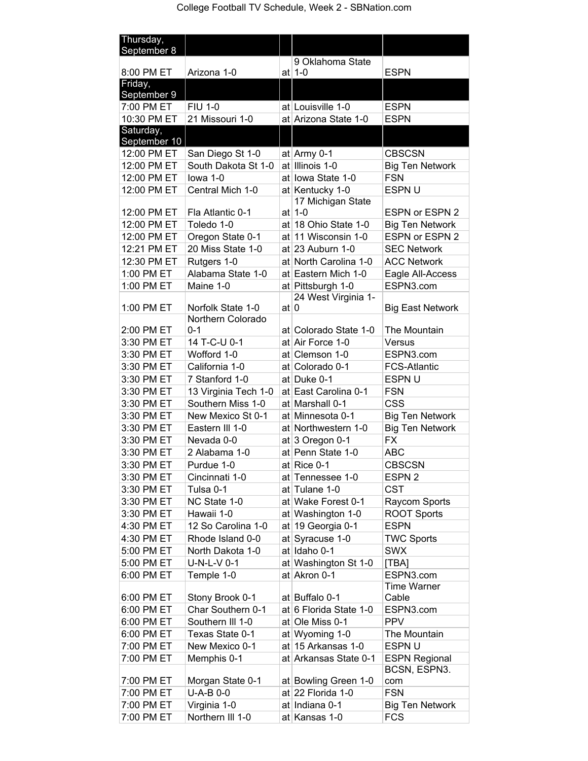| Thursday,                 |                         |                    |                                           |                          |
|---------------------------|-------------------------|--------------------|-------------------------------------------|--------------------------|
| September 8               |                         |                    | 9 Oklahoma State                          |                          |
| 8:00 PM ET                | Arizona 1-0             |                    | at $1-0$                                  | <b>ESPN</b>              |
| Friday,                   |                         |                    |                                           |                          |
| September 9<br>7:00 PM ET | <b>FIU 1-0</b>          |                    | at Louisville 1-0                         | <b>ESPN</b>              |
| 10:30 PM ET               | 21 Missouri 1-0         |                    | at Arizona State 1-0                      | <b>ESPN</b>              |
| Saturday,                 |                         |                    |                                           |                          |
| September 10              |                         |                    |                                           |                          |
| 12:00 PM ET               | San Diego St 1-0        |                    | at $A$ rmy 0-1                            | <b>CBSCSN</b>            |
| 12:00 PM ET               | South Dakota St 1-0     |                    | at Illinois 1-0                           | <b>Big Ten Network</b>   |
| 12:00 PM ET               | lowa 1-0                |                    | at lowa State 1-0                         | <b>FSN</b>               |
| 12:00 PM ET               | Central Mich 1-0        |                    | at Kentucky 1-0                           | ESPN U                   |
| 12:00 PM ET               | Fla Atlantic 0-1        |                    | 17 Michigan State<br>at $1-0$             | <b>ESPN or ESPN 2</b>    |
| 12:00 PM ET               | Toledo 1-0              |                    | at 18 Ohio State 1-0                      | <b>Big Ten Network</b>   |
| 12:00 PM ET               | Oregon State 0-1        |                    | at 11 Wisconsin 1-0                       | ESPN or ESPN 2           |
| 12:21 PM ET               | 20 Miss State 1-0       |                    | at $23$ Auburn 1-0                        | <b>SEC Network</b>       |
| 12:30 PM ET               | Rutgers 1-0             |                    | at North Carolina 1-0                     | <b>ACC Network</b>       |
| 1:00 PM ET                | Alabama State 1-0       |                    | at Eastern Mich 1-0                       | Eagle All-Access         |
| 1:00 PM ET                | Maine 1-0               |                    | at Pittsburgh 1-0                         | ESPN3.com                |
|                           |                         |                    | 24 West Virginia 1-                       |                          |
| 1:00 PM ET                | Norfolk State 1-0       | at $\vert 0 \vert$ |                                           | <b>Big East Network</b>  |
|                           | Northern Colorado       |                    |                                           |                          |
| 2:00 PM ET<br>3:30 PM ET  | $0 - 1$<br>14 T-C-U 0-1 |                    | at Colorado State 1-0<br>at Air Force 1-0 | The Mountain<br>Versus   |
| 3:30 PM ET                | Wofford 1-0             |                    | at Clemson 1-0                            | ESPN3.com                |
| 3:30 PM ET                | California 1-0          |                    | at Colorado 0-1                           | <b>FCS-Atlantic</b>      |
| 3:30 PM ET                | 7 Stanford 1-0          |                    | at Duke 0-1                               | ESPN U                   |
| 3:30 PM ET                | 13 Virginia Tech 1-0    |                    | at East Carolina 0-1                      | <b>FSN</b>               |
| 3:30 PM ET                | Southern Miss 1-0       |                    | at Marshall 0-1                           | <b>CSS</b>               |
| 3:30 PM ET                | New Mexico St 0-1       |                    | at Minnesota 0-1                          | <b>Big Ten Network</b>   |
| 3:30 PM ET                | Eastern III 1-0         |                    | at Northwestern 1-0                       | <b>Big Ten Network</b>   |
| 3:30 PM ET                | Nevada 0-0              |                    | at $3$ Oregon 0-1                         | <b>FX</b>                |
| 3:30 PM ET                | 2 Alabama 1-0           |                    | at Penn State 1-0                         | ABC                      |
| 3:30 PM ET                | Purdue 1-0              |                    | at Rice 0-1                               | <b>CBSCSN</b>            |
| 3:30 PM ET                | Cincinnati 1-0          |                    | at Tennessee 1-0                          | ESPN <sub>2</sub>        |
| 3:30 PM ET                | Tulsa 0-1               |                    | at Tulane 1-0                             | <b>CST</b>               |
| 3:30 PM ET                | NC State 1-0            |                    | at Wake Forest 0-1                        | Raycom Sports            |
| 3:30 PM ET                | Hawaii 1-0              |                    | at Washington 1-0                         | <b>ROOT Sports</b>       |
| 4:30 PM ET                | 12 So Carolina 1-0      |                    | at 19 Georgia 0-1                         | <b>ESPN</b>              |
| 4:30 PM ET                | Rhode Island 0-0        |                    | at Syracuse 1-0                           | <b>TWC Sports</b>        |
| 5:00 PM ET                | North Dakota 1-0        |                    | at Idaho 0-1                              | <b>SWX</b>               |
| 5:00 PM ET                | $U-N-L-V$ 0-1           |                    | at Washington St 1-0                      | [TBA]                    |
| 6:00 PM ET                | Temple 1-0              |                    | at Akron 0-1                              | ESPN3.com<br>Time Warner |
| 6:00 PM ET                | Stony Brook 0-1         |                    | at Buffalo 0-1                            | Cable                    |
| 6:00 PM ET                | Char Southern 0-1       |                    | at 6 Florida State 1-0                    | ESPN3.com                |
| 6:00 PM ET                | Southern III 1-0        |                    | at Ole Miss 0-1                           | <b>PPV</b>               |
| 6:00 PM ET                | Texas State 0-1         |                    | at Wyoming 1-0                            | The Mountain             |
| 7:00 PM ET                | New Mexico 0-1          |                    | at $15$ Arkansas 1-0                      | ESPN U                   |
| 7:00 PM ET                | Memphis 0-1             |                    | at Arkansas State 0-1                     | <b>ESPN Regional</b>     |
|                           |                         |                    |                                           | BCSN, ESPN3.             |
| 7:00 PM ET                | Morgan State 0-1        |                    | at Bowling Green 1-0                      | com                      |
| 7:00 PM ET                | U-A-B 0-0               |                    | at $22$ Florida 1-0                       | <b>FSN</b>               |
| 7:00 PM ET                | Virginia 1-0            |                    | at Indiana 0-1                            | <b>Big Ten Network</b>   |
| 7:00 PM ET                | Northern III 1-0        |                    | at Kansas 1-0                             | <b>FCS</b>               |